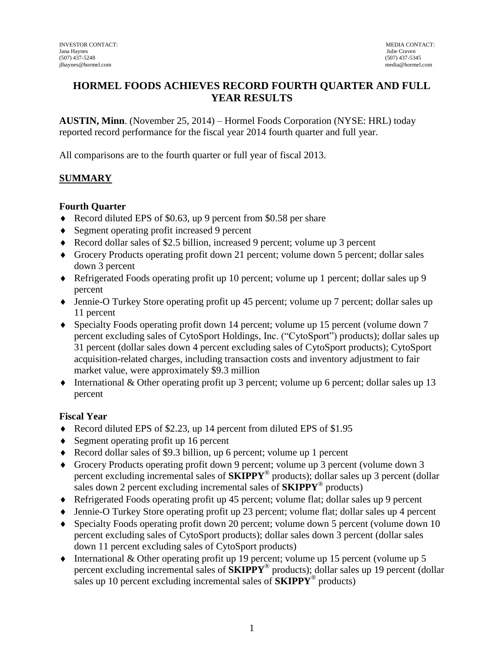## **HORMEL FOODS ACHIEVES RECORD FOURTH QUARTER AND FULL YEAR RESULTS**

**AUSTIN, Minn**. (November 25, 2014) – Hormel Foods Corporation (NYSE: HRL) today reported record performance for the fiscal year 2014 fourth quarter and full year.

All comparisons are to the fourth quarter or full year of fiscal 2013.

### **SUMMARY**

#### **Fourth Quarter**

- ◆ Record diluted EPS of \$0.63, up 9 percent from \$0.58 per share
- ◆ Segment operating profit increased 9 percent
- Record dollar sales of \$2.5 billion, increased 9 percent; volume up 3 percent
- Grocery Products operating profit down 21 percent; volume down 5 percent; dollar sales down 3 percent
- Refrigerated Foods operating profit up 10 percent; volume up 1 percent; dollar sales up 9 percent
- Jennie-O Turkey Store operating profit up 45 percent; volume up 7 percent; dollar sales up 11 percent
- Specialty Foods operating profit down 14 percent; volume up 15 percent (volume down 7 percent excluding sales of CytoSport Holdings, Inc. ("CytoSport") products); dollar sales up 31 percent (dollar sales down 4 percent excluding sales of CytoSport products); CytoSport acquisition-related charges, including transaction costs and inventory adjustment to fair market value, were approximately \$9.3 million
- International & Other operating profit up 3 percent; volume up 6 percent; dollar sales up 13 percent

#### **Fiscal Year**

- ◆ Record diluted EPS of \$2.23, up 14 percent from diluted EPS of \$1.95
- ◆ Segment operating profit up 16 percent
- Record dollar sales of \$9.3 billion, up 6 percent; volume up 1 percent
- Grocery Products operating profit down 9 percent; volume up 3 percent (volume down 3 percent excluding incremental sales of **SKIPPY**® products); dollar sales up 3 percent (dollar sales down 2 percent excluding incremental sales of **SKIPPY**® products)
- Refrigerated Foods operating profit up 45 percent; volume flat; dollar sales up 9 percent
- Jennie-O Turkey Store operating profit up 23 percent; volume flat; dollar sales up 4 percent
- Specialty Foods operating profit down 20 percent; volume down 5 percent (volume down 10 percent excluding sales of CytoSport products); dollar sales down 3 percent (dollar sales down 11 percent excluding sales of CytoSport products)
- International & Other operating profit up 19 percent; volume up 15 percent (volume up 5 percent excluding incremental sales of **SKIPPY**® products); dollar sales up 19 percent (dollar sales up 10 percent excluding incremental sales of **SKIPPY**® products)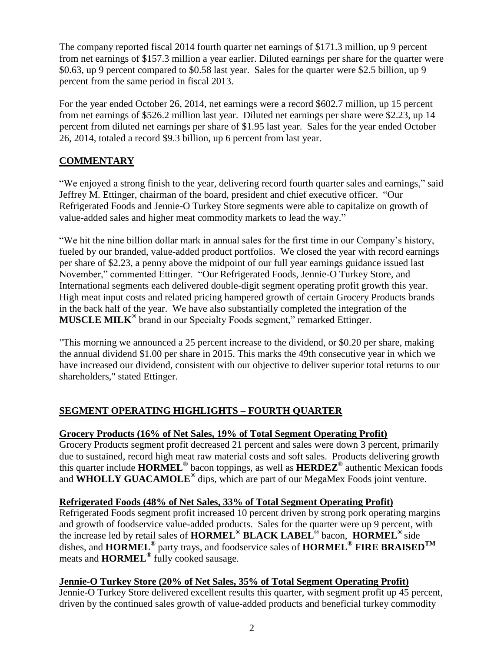The company reported fiscal 2014 fourth quarter net earnings of \$171.3 million, up 9 percent from net earnings of \$157.3 million a year earlier. Diluted earnings per share for the quarter were \$0.63, up 9 percent compared to \$0.58 last year. Sales for the quarter were \$2.5 billion, up 9 percent from the same period in fiscal 2013.

For the year ended October 26, 2014, net earnings were a record \$602.7 million, up 15 percent from net earnings of \$526.2 million last year. Diluted net earnings per share were \$2.23, up 14 percent from diluted net earnings per share of \$1.95 last year. Sales for the year ended October 26, 2014, totaled a record \$9.3 billion, up 6 percent from last year.

## **COMMENTARY**

"We enjoyed a strong finish to the year, delivering record fourth quarter sales and earnings," said Jeffrey M. Ettinger, chairman of the board, president and chief executive officer. "Our Refrigerated Foods and Jennie-O Turkey Store segments were able to capitalize on growth of value-added sales and higher meat commodity markets to lead the way."

"We hit the nine billion dollar mark in annual sales for the first time in our Company's history, fueled by our branded, value-added product portfolios. We closed the year with record earnings per share of \$2.23, a penny above the midpoint of our full year earnings guidance issued last November," commented Ettinger. "Our Refrigerated Foods, Jennie-O Turkey Store, and International segments each delivered double-digit segment operating profit growth this year. High meat input costs and related pricing hampered growth of certain Grocery Products brands in the back half of the year. We have also substantially completed the integration of the **MUSCLE MILK®** brand in our Specialty Foods segment," remarked Ettinger.

"This morning we announced a 25 percent increase to the dividend, or \$0.20 per share, making the annual dividend \$1.00 per share in 2015. This marks the 49th consecutive year in which we have increased our dividend, consistent with our objective to deliver superior total returns to our shareholders," stated Ettinger.

# **SEGMENT OPERATING HIGHLIGHTS – FOURTH QUARTER**

## **Grocery Products (16% of Net Sales, 19% of Total Segment Operating Profit)**

Grocery Products segment profit decreased 21 percent and sales were down 3 percent, primarily due to sustained, record high meat raw material costs and soft sales. Products delivering growth this quarter include **HORMEL®** bacon toppings, as well as **HERDEZ®** authentic Mexican foods and **WHOLLY GUACAMOLE®** dips, which are part of our MegaMex Foods joint venture.

### **Refrigerated Foods (48% of Net Sales, 33% of Total Segment Operating Profit)**

Refrigerated Foods segment profit increased 10 percent driven by strong pork operating margins and growth of foodservice value-added products. Sales for the quarter were up 9 percent, with the increase led by retail sales of **HORMEL® BLACK LABEL®** bacon, **HORMEL®** side dishes, and **HORMEL®** party trays, and foodservice sales of **HORMEL® FIRE BRAISEDTM** meats and **HORMEL®** fully cooked sausage.

### **Jennie-O Turkey Store (20% of Net Sales, 35% of Total Segment Operating Profit)**

Jennie-O Turkey Store delivered excellent results this quarter, with segment profit up 45 percent, driven by the continued sales growth of value-added products and beneficial turkey commodity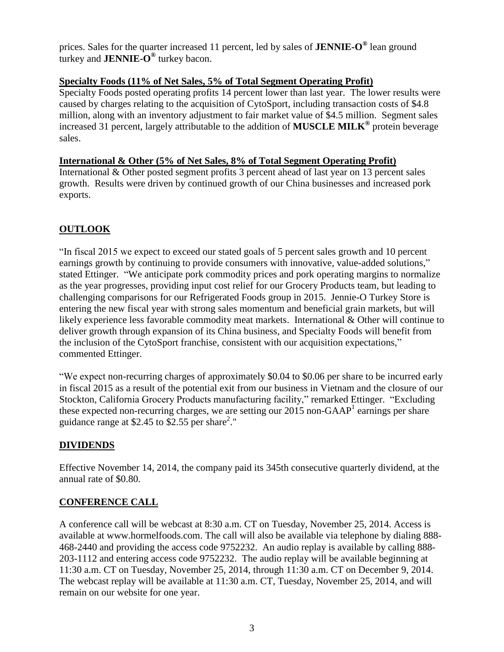prices. Sales for the quarter increased 11 percent, led by sales of **JENNIE-O ®** lean ground turkey and **JENNIE-O ®** turkey bacon.

### **Specialty Foods (11% of Net Sales, 5% of Total Segment Operating Profit)**

Specialty Foods posted operating profits 14 percent lower than last year. The lower results were caused by charges relating to the acquisition of CytoSport, including transaction costs of \$4.8 million, along with an inventory adjustment to fair market value of \$4.5 million. Segment sales increased 31 percent, largely attributable to the addition of **MUSCLE MILK®** protein beverage sales.

### **International & Other (5% of Net Sales, 8% of Total Segment Operating Profit)**

International & Other posted segment profits 3 percent ahead of last year on 13 percent sales growth. Results were driven by continued growth of our China businesses and increased pork exports.

# **OUTLOOK**

"In fiscal 2015 we expect to exceed our stated goals of 5 percent sales growth and 10 percent earnings growth by continuing to provide consumers with innovative, value-added solutions," stated Ettinger. "We anticipate pork commodity prices and pork operating margins to normalize as the year progresses, providing input cost relief for our Grocery Products team, but leading to challenging comparisons for our Refrigerated Foods group in 2015. Jennie-O Turkey Store is entering the new fiscal year with strong sales momentum and beneficial grain markets, but will likely experience less favorable commodity meat markets. International & Other will continue to deliver growth through expansion of its China business, and Specialty Foods will benefit from the inclusion of the CytoSport franchise, consistent with our acquisition expectations," commented Ettinger.

"We expect non-recurring charges of approximately \$0.04 to \$0.06 per share to be incurred early in fiscal 2015 as a result of the potential exit from our business in Vietnam and the closure of our Stockton, California Grocery Products manufacturing facility," remarked Ettinger. "Excluding these expected non-recurring charges, we are setting our  $2015$  non-GAAP<sup>1</sup> earnings per share guidance range at \$2.45 to  $\overline{$2.55}$  per share<sup>2</sup>."

## **DIVIDENDS**

Effective November 14, 2014, the company paid its 345th consecutive quarterly dividend, at the annual rate of \$0.80.

### **CONFERENCE CALL**

A conference call will be webcast at 8:30 a.m. CT on Tuesday, November 25, 2014. Access is available at www.hormelfoods.com. The call will also be available via telephone by dialing 888- 468-2440 and providing the access code 9752232. An audio replay is available by calling 888- 203-1112 and entering access code 9752232. The audio replay will be available beginning at 11:30 a.m. CT on Tuesday, November 25, 2014, through 11:30 a.m. CT on December 9, 2014. The webcast replay will be available at 11:30 a.m. CT, Tuesday, November 25, 2014, and will remain on our website for one year.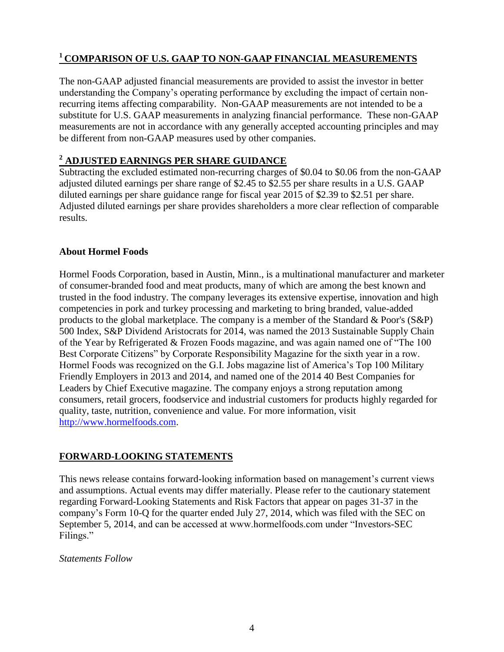# **<sup>1</sup>COMPARISON OF U.S. GAAP TO NON-GAAP FINANCIAL MEASUREMENTS**

The non-GAAP adjusted financial measurements are provided to assist the investor in better understanding the Company's operating performance by excluding the impact of certain nonrecurring items affecting comparability. Non-GAAP measurements are not intended to be a substitute for U.S. GAAP measurements in analyzing financial performance. These non-GAAP measurements are not in accordance with any generally accepted accounting principles and may be different from non-GAAP measures used by other companies.

### **<sup>2</sup> ADJUSTED EARNINGS PER SHARE GUIDANCE**

Subtracting the excluded estimated non-recurring charges of \$0.04 to \$0.06 from the non-GAAP adjusted diluted earnings per share range of \$2.45 to \$2.55 per share results in a U.S. GAAP diluted earnings per share guidance range for fiscal year 2015 of \$2.39 to \$2.51 per share. Adjusted diluted earnings per share provides shareholders a more clear reflection of comparable results.

### **About Hormel Foods**

Hormel Foods Corporation, based in Austin, Minn., is a multinational manufacturer and marketer of consumer-branded food and meat products, many of which are among the best known and trusted in the food industry. The company leverages its extensive expertise, innovation and high competencies in pork and turkey processing and marketing to bring branded, value-added products to the global marketplace. The company is a member of the Standard & Poor's (S&P) 500 Index, S&P Dividend Aristocrats for 2014, was named the 2013 Sustainable Supply Chain of the Year by Refrigerated & Frozen Foods magazine, and was again named one of "The 100 Best Corporate Citizens" by Corporate Responsibility Magazine for the sixth year in a row. Hormel Foods was recognized on the G.I. Jobs magazine list of America's Top 100 Military Friendly Employers in 2013 and 2014, and named one of the 2014 40 Best Companies for Leaders by Chief Executive magazine. The company enjoys a strong reputation among consumers, retail grocers, foodservice and industrial customers for products highly regarded for quality, taste, nutrition, convenience and value. For more information, visit [http://www.hormelfoods.com.](http://www.hormelfoods.com/)

### **FORWARD-LOOKING STATEMENTS**

This news release contains forward-looking information based on management's current views and assumptions. Actual events may differ materially. Please refer to the cautionary statement regarding Forward-Looking Statements and Risk Factors that appear on pages 31-37 in the company's Form 10-Q for the quarter ended July 27, 2014, which was filed with the SEC on September 5, 2014, and can be accessed at www.hormelfoods.com under "Investors-SEC Filings."

### *Statements Follow*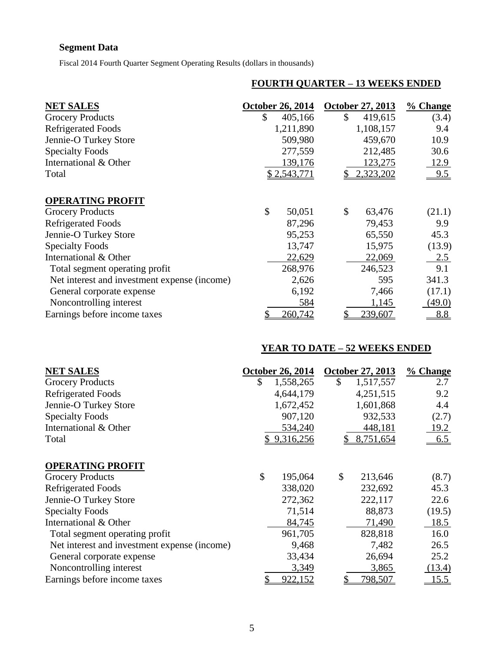# **Segment Data**

Fiscal 2014 Fourth Quarter Segment Operating Results (dollars in thousands)

## **FOURTH QUARTER – 13 WEEKS ENDED**

| <b>NET SALES</b>                             | October 26, 2014        | <b>October 27, 2013</b> | % Change    |
|----------------------------------------------|-------------------------|-------------------------|-------------|
| <b>Grocery Products</b>                      | \$<br>405,166           | \$<br>419,615           | (3.4)       |
| <b>Refrigerated Foods</b>                    | 1,211,890               | 1,108,157               | 9.4         |
| Jennie-O Turkey Store                        | 509,980                 | 459,670                 | 10.9        |
| <b>Specialty Foods</b>                       | 277,559                 | 212,485                 | 30.6        |
| International & Other                        | 139,176                 | 123,275                 | <u>12.9</u> |
| Total                                        | \$2,543,771             | 2,323,202               | 9.5         |
| <b>OPERATING PROFIT</b>                      |                         |                         |             |
| <b>Grocery Products</b>                      | $\mathcal{S}$<br>50,051 | \$<br>63,476            | (21.1)      |
| <b>Refrigerated Foods</b>                    | 87,296                  | 79,453                  | 9.9         |
| Jennie-O Turkey Store                        | 95,253                  | 65,550                  | 45.3        |
| <b>Specialty Foods</b>                       | 13,747                  | 15,975                  | (13.9)      |
| International & Other                        | 22,629                  | 22,069                  | 2.5         |
| Total segment operating profit               | 268,976                 | 246,523                 | 9.1         |
| Net interest and investment expense (income) | 2,626                   | 595                     | 341.3       |
| General corporate expense                    | 6,192                   | 7,466                   | (17.1)      |
| Noncontrolling interest                      | 584                     | 1,145                   | (49.0)      |
| Earnings before income taxes                 | 260,742                 | 239,607                 | 8.8         |

### **YEAR TO DATE – 52 WEEKS ENDED**

| <b>NET SALES</b>                             | <b>October 26, 2014</b> | <b>October 27, 2013</b> | $%$ Change |
|----------------------------------------------|-------------------------|-------------------------|------------|
| <b>Grocery Products</b>                      | \$<br>1,558,265         | \$<br>1,517,557         | 2.7        |
| <b>Refrigerated Foods</b>                    | 4,644,179               | 4,251,515               | 9.2        |
| Jennie-O Turkey Store                        | 1,672,452               | 1,601,868               | 4.4        |
| <b>Specialty Foods</b>                       | 907,120                 | 932,533                 | (2.7)      |
| International & Other                        | 534,240                 | 448,181                 | 19.2       |
| Total                                        | \$9,316,256             | \$8,751,654             | 6.5        |
| <b>OPERATING PROFIT</b>                      |                         |                         |            |
| <b>Grocery Products</b>                      | \$<br>195,064           | \$<br>213,646           | (8.7)      |
| <b>Refrigerated Foods</b>                    | 338,020                 | 232,692                 | 45.3       |
| Jennie-O Turkey Store                        | 272,362                 | 222,117                 | 22.6       |
| <b>Specialty Foods</b>                       | 71,514                  | 88,873                  | (19.5)     |
| International & Other                        | 84,745                  | 71,490                  | 18.5       |
| Total segment operating profit               | 961,705                 | 828,818                 | 16.0       |
| Net interest and investment expense (income) | 9,468                   | 7,482                   | 26.5       |
| General corporate expense                    | 33,434                  | 26,694                  | 25.2       |
| Noncontrolling interest                      | 3,349                   | 3,865                   | (13.4)     |
| Earnings before income taxes                 | 922,152                 | 798,507                 | 15.5       |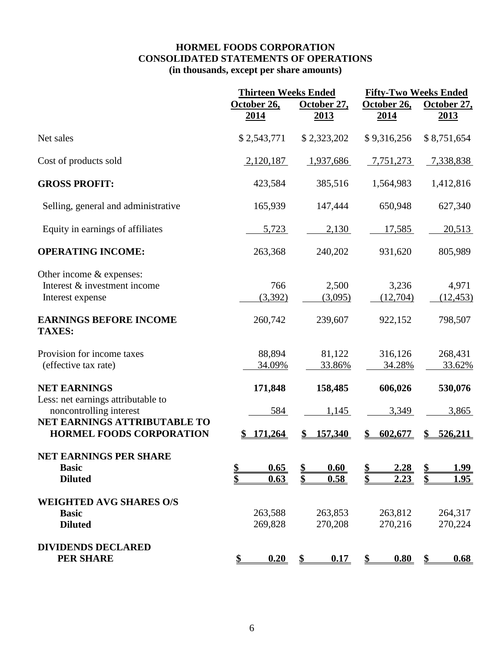## **HORMEL FOODS CORPORATION CONSOLIDATED STATEMENTS OF OPERATIONS (in thousands, except per share amounts)**

|                                                                                                                                                         | <b>Thirteen Weeks Ended</b>                   |                                      | <b>Fifty-Two Weeks Ended</b>         |                                            |
|---------------------------------------------------------------------------------------------------------------------------------------------------------|-----------------------------------------------|--------------------------------------|--------------------------------------|--------------------------------------------|
|                                                                                                                                                         | October 26,<br><u>2014</u>                    | October 27,<br><u>2013</u>           | October 26,<br><u>2014</u>           | October 27,<br><u>2013</u>                 |
| Net sales                                                                                                                                               | \$2,543,771                                   | \$2,323,202                          | \$9,316,256                          | \$8,751,654                                |
| Cost of products sold                                                                                                                                   | 2,120,187                                     | 1,937,686                            | 7,751,273                            | 7,338,838                                  |
| <b>GROSS PROFIT:</b>                                                                                                                                    | 423,584                                       | 385,516                              | 1,564,983                            | 1,412,816                                  |
| Selling, general and administrative                                                                                                                     | 165,939                                       | 147,444                              | 650,948                              | 627,340                                    |
| Equity in earnings of affiliates                                                                                                                        | 5,723                                         | 2,130                                | 17,585                               | 20,513                                     |
| <b>OPERATING INCOME:</b>                                                                                                                                | 263,368                                       | 240,202                              | 931,620                              | 805,989                                    |
| Other income & expenses:<br>Interest & investment income<br>Interest expense                                                                            | 766<br>(3,392)                                | 2,500<br>(3,095)                     | 3,236<br>(12,704)                    | 4,971<br>(12, 453)                         |
| <b>EARNINGS BEFORE INCOME</b><br><b>TAXES:</b>                                                                                                          | 260,742                                       | 239,607                              | 922,152                              | 798,507                                    |
| Provision for income taxes<br>(effective tax rate)                                                                                                      | 88,894<br>34.09%                              | 81,122<br>33.86%                     | 316,126<br>34.28%                    | 268,431<br>33.62%                          |
| <b>NET EARNINGS</b><br>Less: net earnings attributable to<br>noncontrolling interest<br>NET EARNINGS ATTRIBUTABLE TO<br><b>HORMEL FOODS CORPORATION</b> | 171,848<br>584<br>171,264                     | 158,485<br>1,145<br>157,340          | 606,026<br>3,349<br>602,677          | 530,076<br>3,865<br>526,211                |
| NET EARNINGS PER SHARE<br><b>Basic</b><br><b>Diluted</b>                                                                                                | \$<br>0.65<br>$\overline{\mathbf{s}}$<br>0.63 | 0.60<br>\$<br>$\mathbf{\$\}$<br>0.58 | 2.28<br>\$<br>$\mathbf{\$\}$<br>2.23 | <u>1.99</u><br>\$<br>1.95<br>$\frac{1}{2}$ |
| <b>WEIGHTED AVG SHARES O/S</b><br><b>Basic</b><br><b>Diluted</b>                                                                                        | 263,588<br>269,828                            | 263,853<br>270,208                   | 263,812<br>270,216                   | 264,317<br>270,224                         |
| <b>DIVIDENDS DECLARED</b><br><b>PER SHARE</b>                                                                                                           | 0.20<br>$\frac{1}{2}$                         | 0.17<br>$\mathbf{s}$                 | 0.80<br>$\mathbf{\S}$                | 0.68<br>$\mathbf{\mathcal{S}}$             |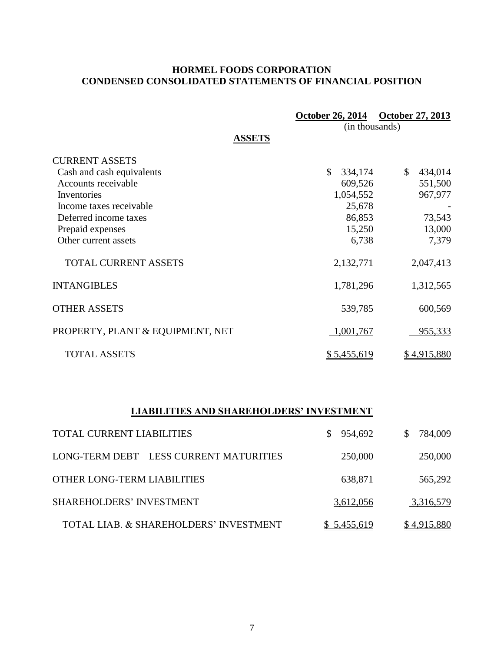## **HORMEL FOODS CORPORATION CONDENSED CONSOLIDATED STATEMENTS OF FINANCIAL POSITION**

|                                  | <b>October 26, 2014</b> | October 27, 2013        |
|----------------------------------|-------------------------|-------------------------|
|                                  | (in thousands)          |                         |
| <b>ASSETS</b>                    |                         |                         |
| <b>CURRENT ASSETS</b>            |                         |                         |
| Cash and cash equivalents        | \$<br>334,174           | $\mathbb{S}$<br>434,014 |
| Accounts receivable              | 609,526                 | 551,500                 |
| Inventories                      | 1,054,552               | 967,977                 |
| Income taxes receivable          | 25,678                  |                         |
| Deferred income taxes            | 86,853                  | 73,543                  |
| Prepaid expenses                 | 15,250                  | 13,000                  |
| Other current assets             | 6,738                   | 7,379                   |
| <b>TOTAL CURRENT ASSETS</b>      | 2,132,771               | 2,047,413               |
| <b>INTANGIBLES</b>               | 1,781,296               | 1,312,565               |
| <b>OTHER ASSETS</b>              | 539,785                 | 600,569                 |
| PROPERTY, PLANT & EQUIPMENT, NET | 1,001,767               | 955,333                 |
| <b>TOTAL ASSETS</b>              | <u>\$5,455,619</u>      | \$4,915,880             |

# **LIABILITIES AND SHAREHOLDERS' INVESTMENT**

| <b>TOTAL CURRENT LIABILITIES</b>         | \$954,692          | 784,009<br>S. |
|------------------------------------------|--------------------|---------------|
| LONG-TERM DEBT - LESS CURRENT MATURITIES | 250,000            | 250,000       |
| OTHER LONG-TERM LIABILITIES              | 638,871            | 565,292       |
| <b>SHAREHOLDERS' INVESTMENT</b>          | 3,612,056          | 3,316,579     |
| TOTAL LIAB. & SHAREHOLDERS' INVESTMENT   | <u>\$5,455,619</u> | \$4,915,880   |